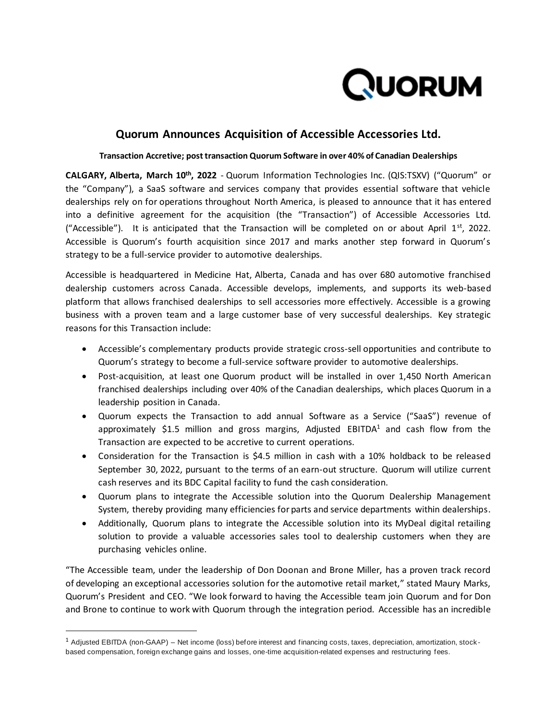

# **Quorum Announces Acquisition of Accessible Accessories Ltd.**

## **Transaction Accretive; post transaction Quorum Software in over 40% of Canadian Dealerships**

**CALGARY, Alberta, March 10th, 2022** - Quorum Information Technologies Inc. (QIS:TSXV) ("Quorum" or the "Company"), a SaaS software and services company that provides essential software that vehicle dealerships rely on for operations throughout North America, is pleased to announce that it has entered into a definitive agreement for the acquisition (the "Transaction") of Accessible Accessories Ltd. ("Accessible"). It is anticipated that the Transaction will be completed on or about April  $1<sup>st</sup>$ , 2022. Accessible is Quorum's fourth acquisition since 2017 and marks another step forward in Quorum's strategy to be a full-service provider to automotive dealerships.

Accessible is headquartered in Medicine Hat, Alberta, Canada and has over 680 automotive franchised dealership customers across Canada. Accessible develops, implements, and supports its web-based platform that allows franchised dealerships to sell accessories more effectively. Accessible is a growing business with a proven team and a large customer base of very successful dealerships. Key strategic reasons for this Transaction include:

- Accessible's complementary products provide strategic cross-sell opportunities and contribute to Quorum's strategy to become a full-service software provider to automotive dealerships.
- Post-acquisition, at least one Quorum product will be installed in over 1,450 North American franchised dealerships including over 40% of the Canadian dealerships, which places Quorum in a leadership position in Canada.
- Quorum expects the Transaction to add annual Software as a Service ("SaaS") revenue of approximately \$1.5 million and gross margins, Adjusted EBITDA $1$  and cash flow from the Transaction are expected to be accretive to current operations.
- Consideration for the Transaction is \$4.5 million in cash with a 10% holdback to be released September 30, 2022, pursuant to the terms of an earn-out structure. Quorum will utilize current cash reserves and its BDC Capital facility to fund the cash consideration.
- Quorum plans to integrate the Accessible solution into the Quorum Dealership Management System, thereby providing many efficiencies for parts and service departments within dealerships.
- Additionally, Quorum plans to integrate the Accessible solution into its MyDeal digital retailing solution to provide a valuable accessories sales tool to dealership customers when they are purchasing vehicles online.

"The Accessible team, under the leadership of Don Doonan and Brone Miller, has a proven track record of developing an exceptional accessories solution for the automotive retail market," stated Maury Marks, Quorum's President and CEO. "We look forward to having the Accessible team join Quorum and for Don and Brone to continue to work with Quorum through the integration period. Accessible has an incredible

 $1$  Adjusted EBITDA (non-GAAP) – Net income (loss) before interest and financing costs, taxes, depreciation, amortization, stockbased compensation, foreign exchange gains and losses, one-time acquisition-related expenses and restructuring fees.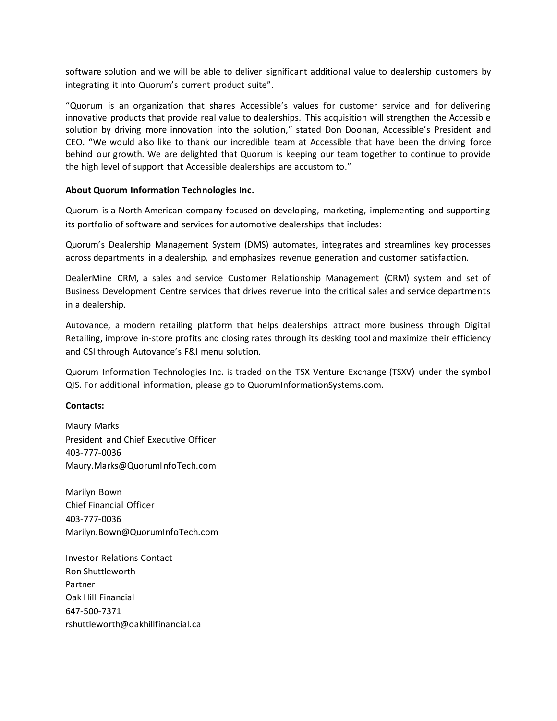software solution and we will be able to deliver significant additional value to dealership customers by integrating it into Quorum's current product suite".

"Quorum is an organization that shares Accessible's values for customer service and for delivering innovative products that provide real value to dealerships. This acquisition will strengthen the Accessible solution by driving more innovation into the solution," stated Don Doonan, Accessible's President and CEO. "We would also like to thank our incredible team at Accessible that have been the driving force behind our growth. We are delighted that Quorum is keeping our team together to continue to provide the high level of support that Accessible dealerships are accustom to."

# **About Quorum Information Technologies Inc.**

Quorum is a North American company focused on developing, marketing, implementing and supporting its portfolio of software and services for automotive dealerships that includes:

Quorum's Dealership Management System (DMS) automates, integrates and streamlines key processes across departments in a dealership, and emphasizes revenue generation and customer satisfaction.

DealerMine CRM, a sales and service Customer Relationship Management (CRM) system and set of Business Development Centre services that drives revenue into the critical sales and service departments in a dealership.

Autovance, a modern retailing platform that helps dealerships attract more business through Digital Retailing, improve in-store profits and closing rates through its desking tool and maximize their efficiency and CSI through Autovance's F&I menu solution.

Quorum Information Technologies Inc. is traded on the TSX Venture Exchange (TSXV) under the symbol QIS. For additional information, please go to QuorumInformationSystems.com.

### **Contacts:**

Maury Marks President and Chief Executive Officer 403-777-0036 Maury.Marks@QuorumInfoTech.com

Marilyn Bown Chief Financial Officer 403-777-0036 Marilyn.Bown@QuorumInfoTech.com

Investor Relations Contact Ron Shuttleworth Partner Oak Hill Financial 647-500-7371 rshuttleworth@oakhillfinancial.ca